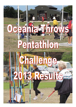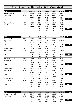## **Oceania Throws Pentathlon Challenge 2013 - Women's Results**

| <b>W30</b>              |            | <b>Hammer</b> | <b>Shot</b> | <b>Discus</b> | <b>Javelin</b> | Weight | <b>Points</b> |
|-------------------------|------------|---------------|-------------|---------------|----------------|--------|---------------|
| Cassie Neubauer         | <b>SA</b>  | 16.19         | 6.59        | 15.21         | 20.10          | 7.87   |               |
| Age Factors             | W30        | 1.0000        | 1.0000      | 1.0000        | 1.0000         | 1.0000 |               |
|                         |            | 16.19         | 6.59        | 15.21         | 20.10          | 7.87   |               |
| 1st                     |            | 200           | 309         | 193           | 291            | 364    | 1357          |
|                         |            | 200           | 509         | 702           | 993            | 1357   |               |
| <b>Belinda Westcott</b> | <b>NSW</b> | 14.90         | 6.91        | 16.99         | 15.97          | 6.10   |               |
| Age Factors             | W30        | 1.0000        | 1.0000      | 1.0000        | 1.0000         | 1.0000 |               |
|                         |            | 14.90         | 6.91        | 16.99         | 15.97          | 6.10   |               |
| 2nd                     |            | 174           | 329         | 224           | 214            | 258    | 1199          |
|                         |            | 174           | 503         | 727           | 941            | 1199   |               |

| <b>W40</b>          |            | <b>Hammer</b> | <b>Shot</b> | <b>Discus</b> | <b>Javelin</b> | Weight | <b>Points</b> |
|---------------------|------------|---------------|-------------|---------------|----------------|--------|---------------|
| Althea Mackie       | <b>QLD</b> | 39.11         | 8.13        | 25.65         | 21.84          | 12.35  |               |
| Age Factors         | W40        | 1.1763        | 1.1100      | 1.1150        | 1.1475         | 1.1852 |               |
|                     |            | 46.00         | 9.02        | 28.59         | 25.06          | 14.63  |               |
| 1st                 |            | 843           | 465         | 436           | 383            | 778    | 2905          |
|                     |            | 843           | 1308        | 1744          | 2127           | 2905   |               |
| <b>Tracy Canham</b> | <b>TAS</b> | 36.27         | 8.48        | 22.29         | 17.47          | 10.52  |               |
| Age Factors         | W40        | 1.1763        | 1.1100      | 1.1150        | 1.1475         | 1.1852 |               |
|                     |            | 42.66         | 9.41        | 24.85         | 20.04          | 12.46  |               |
| 2nd                 |            | 770           | 491         | 366           | 290            | 644    | 2561          |
|                     |            | 770           | 1261        | 1627          | 1917           | 2561   |               |
| Samantha Latanis    | <b>NSW</b> | 24.35         | 9.13        | 28.54         | 18.45          | 8.72   |               |
| Age Factors         | W40        | 1.1763        | 1.1100      | 1.1150        | 1.1475         | 1.1852 |               |
|                     |            | 28.64         | 10.13       | 31.82         | 21.17          | 10.33  |               |
| 3rd                 |            | 464           | 538         | 497           | 311            | 513    | 2323          |
|                     |            | 464           | 1002        | 1499          | 1810           | 2323   |               |
| Cathy McKeown       | <b>TAS</b> | 22.30         | 8.59        | 21.79         | 23.11          | 7.71   |               |
| Age Factors         | W40        | 1.1763        | 1.1100      | 1.1150        | 1.1475         | 1.1852 |               |
|                     |            | 26.23         | 9.53        | 24.29         | 26.51          | 9.13   |               |
| 4th                 |            | 412           | 499         | 356           | 411            | 440    | 2118          |
|                     |            | 412           | 911         | 1267          | 1678           | 2118   |               |
| Megan Schenk        | SA         | 16.39         | 5.71        | 14.93         | 13.35          | 6.81   |               |
| Age Factors         | W40        | 1.1763        | 1.1100      | 1.1150        | 1.1475         | 1.1852 |               |
|                     |            | 19.27         | 6.33        | 16.64         | 15.31          | 8.07   |               |
| 5th                 |            | 264           | 292         | 218           | 202            | 376    | 1352          |
|                     |            | 264           | 556         | 774           | 976            | 1352   |               |

| <b>W45</b>              |            | <b>Hammer</b> | <b>Shot</b> | <b>Discus</b> | <b>Javelin</b> | Weight | <b>Points</b> |
|-------------------------|------------|---------------|-------------|---------------|----------------|--------|---------------|
| <b>Glenys Whitehead</b> | <b>NSW</b> | 35.47         | 8.96        | 29.73         | 21.39          | 10.41  |               |
| Age Factors             | W45        | 1.2717        | 1.1943      | 1.2058        | 1.2479         | 1.2955 |               |
|                         |            | 45.10         | 10.70       | 35.84         | 26.69          | 13.48  |               |
| 1st                     |            | 824           | 575         | 574           | 414            | 707    | 3094          |
|                         |            | 824           | 1399        | 1973          | 2387           | 3094   |               |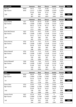| <b>W45 (cont)</b>    |            | <b>Hammer</b> | Shot        | <b>Discus</b> | <b>Javelin</b> | Weight        | <b>Points</b> |
|----------------------|------------|---------------|-------------|---------------|----------------|---------------|---------------|
| Jen Fee              | <b>WMA</b> | 19.71         | 7.53        | 22.82         | 11.11          | 7.42          |               |
| Age Factors          | W45        | 1.2717        | 1.1943      | 1.2058        | 1.2479         | 1.2955        |               |
|                      |            | 25.06         | 8.99        | 27.51         | 13.86          | 9.61          |               |
| 2nd                  |            | 387           | 464         | 416           | 176            | 469           | 1912          |
|                      |            | 387           | 851         | 1267          | 1443           | 1912          |               |
| <b>W50</b>           |            | <b>Hammer</b> | <b>Shot</b> | <b>Discus</b> | <b>Javelin</b> | <b>Weight</b> | <b>Points</b> |
| Jayne Hardy          | <b>ACT</b> | 45.38         | 10.52       | 32.09         | 29.04          | 14.13         |               |
| Age Factors          | W50        | 1.2838        | 1.2607      | 1.3128        | 1.3147         | 1.1822        |               |
|                      |            | 58.25         | 13.26       | 42.12         | 38.17          | 16.70         |               |
| 1st                  |            | 1117          | 745         | 696           | 632            | 908           | 4098          |
|                      |            | 1117          | 1862        | 2558          | 3190           | 4098          |               |
| Karel McClintock     | <b>QLD</b> | 25.95         | 9.61        | 23.99         | 21.37          | 8.84          |               |
| Age Factors          | W50        | 1.2838        | 1.2607      | 1.3128        | 1.3147         | 1.1822        |               |
|                      |            | 33.31         | 12.11       | 31.49         | 28.09          | 10.45         |               |
| 2nd                  |            | 565           | 668         | 491           | 440            | 520           | 2684          |
|                      |            | 565           | 1233        | 1724          | 2164           | 2684          |               |
| Fiona Harvey         | <b>OTG</b> | 26.79         | 7.61        | 22.75         | 19.64          | 9.31          |               |
| <b>Age Factors</b>   | W50        | 1.2838        | 1.2607      | 1.3128        | 1.3147         | 1.1822        |               |
|                      |            | 34.39         | 9.59        | 29.86         | 25.82          | 11.00         |               |
| 3rd                  |            | 588           | 503         | 460           | 398            | 554           | 2503          |
|                      |            | 588           | 1091        | 1551          | 1949           | 2503          |               |
| <b>Alison Newall</b> | <b>OTG</b> | 25.04         | 7.15        | 15.62         | 16.93          | 8.75          |               |
| <b>Age Factors</b>   | W50        | 1.2838        | 1.2607      | 1.3128        | 1.3147         | 1.1822        |               |
|                      |            | 32.14         | 9.01        | 20.50         | 22.25          | 10.34         |               |
| 4th                  |            | 539           | 465         | 287           | 331            | 513           | 2135          |
|                      |            | 539           | 1004        | 1291          | 1622           | 2135          |               |
| Janice Maxwell       | <b>CAN</b> | 24.68         | 7.66        | 19.79         | 16.58          | 6.92          |               |
| Age Factors          | W50        | 1.2838        | 1.2607      | 1.3128        | 1.3147         | 1.1822        |               |
|                      |            | 31.68         | 9.65        | 25.98         | 21.79          | 8.18          |               |
| 5th                  |            | 529           | 507         | 387           | 322            | 382           | 2127          |
|                      |            | 529           | 1036        | 1423          | 1745           | 2127          |               |
| <b>W55</b>           |            | <b>Hammer</b> | <b>Shot</b> | <b>Discus</b> | <b>Javelin</b> | Weight        | <b>Total</b>  |
| Jill Taylor          | <b>NSW</b> | 38.29         | 9.38        | 23.54         | 19.88          | 12.10         |               |
| Age Factors          | W55        | 1.3984        | 1.3706      | 1.4407        | 1.4482         | 1.2918        |               |
|                      |            | 53.54         | 12.85       | 33.91         | 28.79          | 15.63         |               |
| 1st                  |            | 1011          | 717         | 537           | 454            | 841           | 3560          |
|                      |            | 1011          | 1728        | 2265          | 2719           | 3560          |               |
| <b>Claire Giles</b>  | <b>OTG</b> | 22.95         | 7.53        | 17.02         | 16.83          | 7.58          |               |
| Age Factors          | W55        | 1.3984        | 1.3706      | 1.4407        | 1.4482         | 1.2918        |               |
|                      |            | 32.09         | 10.32       | 24.52         | 24.37          | 9.79          |               |
| 2nd                  |            | 538           | 550         | 360           | 370            | 480           | 2298          |
|                      |            | 538           | 1088        | 1448          | 1818           | 2298          |               |
| Joanne Pronk         | <b>QLD</b> | 23.14         | 8.34        | 19.56         | 0              | 6.88          |               |
| Age Factors          | W55        | 1.3984        | 1.3706      | 1.4407        | 1.4482         | 1.2918        |               |
|                      |            | 32.35         | 11.43       | 28.18         | 0.00           | 8.88          |               |
| 3rd                  |            | 544           | 623         | 428           | $\pmb{0}$      | 425           | 2020          |
|                      |            | 544           | 1167        | 1595          | 1595           | 2020          |               |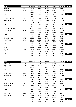| <b>W60</b>         |            | <b>Hammer</b> | <b>Shot</b> | <b>Discus</b> | <b>Javelin</b> | Weight | <b>Points</b> |
|--------------------|------------|---------------|-------------|---------------|----------------|--------|---------------|
| Jill Evans         | <b>WMA</b> | 24.73         | 7.88        | 21.00         | 15.85          | 9.63   |               |
| Age Factors        | W60        | 1.5353        | 1.5015      | 1.5961        | 1.5408         | 1.2108 |               |
|                    |            | 37.96         | 11.83       | 33.51         | 24.42          | 11.66  |               |
| 1st                |            | 666           | 650         | 529           | 371            | 594    | 2810          |
|                    |            | 666           | 1316        | 1845          | 2216           | 2810   |               |
| Cherie Dempsey     | SA         | 20.09         | 6.75        | 17.41         | 15.51          | 8.31   |               |
| Age Factors        | W60        | 1.5353        | 1.5015      | 1.5961        | 1.5408         | 1.2108 |               |
|                    |            | 30.84         | 10.13       | 27.78         | 23.89          | 10.06  |               |
| 2nd                |            | 511           | 538         | 421           | 361            | 496    | 2327          |
|                    |            | 511           | 1049        | 1470          | 1831           | 2327   |               |
| Adriana van Bockel | <b>NSW</b> | 20.07         | 5.28        | 15.26         | 12.26          | 7.97   |               |
| Age Factors        | W60        | 1.5353        | 1.5015      | 1.5961        | 1.5408         | 1.2108 |               |
|                    |            | 30.81         | 7.92        | 24.35         | 18.89          | 9.65   |               |
| 3rd                |            | 511           | 394         | 357           | 268            | 471    | 2001          |
|                    |            | 511           | 905         | 1262          | 1530           | 2001   |               |
| Joan Merrilees     | <b>OTG</b> | 20.58         | 6.14        | 14.59         | 8.40           | 7.78   |               |
| Age Factors        | W60        | 1.5353        | 1.5015      | 1.5961        | 1.5408         | 1.2108 |               |
|                    |            | 31.59         | 9.21        | 23.28         | 12.94          | 9.42   |               |
| 4th                |            | 528           | 478         | 337           | 159            | 457    | 1959          |
|                    |            | 528           | 1006        | 1343          | 1502           | 1959   |               |
| Liz Neubauer       | SA         | 13.32         | 4.72        | 9.43          | 11.34          | 6.73   |               |
| Age Factors        | W60        | 1.5353        | 1.5015      | 1.5961        | 1.5408         | 1.2108 |               |
|                    |            | 20.45         | 7.08        | 15.05         | 17.47          | 8.14   |               |
| 5th                |            | 289           | 340         | 190           | 242            | 380    | 1441          |
|                    |            | 289           | 629         | 819           | 1061           | 1441   |               |

| <b>W65</b>           |            | <b>Hammer</b> | <b>Shot</b> | <b>Discus</b> | <b>Javelin</b> | <b>Weight</b> | <b>Points</b> |
|----------------------|------------|---------------|-------------|---------------|----------------|---------------|---------------|
| Bev Savage           | <b>WBP</b> | 30.75         | 8.32        | 22.62         | 18.11          | 12.63         |               |
| Age Factors          | W65        | 1.7038        | 1.6600      | 1.7927        | 1.7274         | 1.3260        |               |
|                      |            | 52.39         | 13.81       | 40.55         | 31.28          | 16.74         |               |
| 1st                  |            | 986           | 781         | 665           | 501            | 910           | 3843          |
|                      |            | 986           | 1767        | 2432          | 2933           | 3843          |               |
| Mary Thomas          | <b>NSW</b> | 26.11         | 6.61        | 20.71         | 19.37          | 8.78          |               |
| Age Factors          | W65        | 1.7038        | 1.6600      | 1.7927        | 1.7274         | 1.3260        |               |
|                      |            | 44.48         | 10.97       | 37.12         | 33.45          | 11.64         |               |
| 2nd                  |            | 810           | 593         | 598           | 542            | 593           | 3136          |
|                      |            | 810           | 1403        | 2001          | 2543           | 3136          |               |
| <b>Anne Deleiros</b> | <b>AKL</b> | 20.73         | 7.88        | 19.21         | 9.62           | 9.32          |               |
| Age Factors          | W65        | 1.7038        | 1.6600      | 1.7927        | 1.7274         | 1.3260        |               |
|                      |            | 35.31         | 13.08       | 34.43         | 16.61          | 12.35         |               |
| 3rd                  |            | 608           | 733         | 547           | 226            | 637           | 2751          |
|                      |            | 608           | 1341        | 1888          | 2114           | 2751          |               |
| Bev Church           | <b>CAN</b> | 23.33         | 6.63        | 17.45         | 15.63          | 7.83          |               |
| Age Factors          | W65        | 1.7038        | 1.6600      | 1.7927        | 1.7274         | 1.3260        |               |
|                      |            | 39.74         | 11.00       | 31.28         | 26.99          | 10.38         |               |
| 4th                  |            | 705           | 595         | 487           | 420            | 516           | 2723          |
|                      |            | 705           | 1300        | 1787          | 2207           | 2723          |               |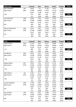| $W65$ (cont)    |            | <b>Hammer</b> | <b>Shot</b> | <b>Discus</b> | <b>Javelin</b> | Weight | <b>Points</b> |
|-----------------|------------|---------------|-------------|---------------|----------------|--------|---------------|
| Noni Callander  | AKL        | 18.09         | 7.11        | 17.64         | 16.47          | 7.99   |               |
| Age Factors     | W65        | 1.7038        | 1.6600      | 1.7927        | 1.7274         | 1.3260 |               |
|                 |            | 30.82         | 11.80       | 31.62         | 28.45          | 10.59  |               |
| 5th             |            | 511           | 648         | 493           | 447            | 529    | 2628          |
|                 |            | 511           | 1159        | 1652          | 2099           | 2628   |               |
| Lois Anderson   | <b>CAN</b> | 16.82         | 7.00        | 16.44         | 15.02          | 8.08   |               |
| Age Factors     | W65        | 1.7038        | 1.6600      | 1.7927        | 1.7274         | 1.3260 |               |
|                 |            | 28.65         | 11.62       | 29.47         | 25.94          | 10.71  |               |
| 6th             |            | 464           | 636         | 452           | 400            | 536    | 2488          |
|                 |            | 464           | 1100        | 1552          | 1952           | 2488   |               |
| Diane Underwood | <b>CAN</b> | 14.79         | 4.85        | 11.30         | 10.87          | 6.09   |               |
| Age Factors     | W65        | 1.7038        | 1.6600      | 1.7927        | 1.7274         | 1.3260 |               |
|                 |            | 25.19         | 8.05        | 20.25         | 18.77          | 8.07   |               |
| 7th             |            | 390           | 403         | 282           | 266            | 376    | 1717          |
|                 |            | 390           | 793         | 1075          | 1341           | 1717   |               |

| <b>W70</b>           |            | <b>Hammer</b> | <b>Shot</b> | <b>Discus</b> | <b>Javelin</b> | Weight | <b>Points</b> |
|----------------------|------------|---------------|-------------|---------------|----------------|--------|---------------|
| <b>Helen Searle</b>  | <b>QLD</b> | 27.34         | 9.03        | 19.17         | 18.80          | 10.32  |               |
| Age Factors          | W70        | 1.9160        | 1.8559      | 2.0542        | 1.9654         | 1.4667 |               |
|                      |            | 52.38         | 16.75       | 39.37         | 36.94          | 15.13  |               |
| 1st                  |            | 985           | 979         | 642           | 609            | 809    | 4024          |
|                      |            | 985           | 1964        | 2606          | 3215           | 4024   |               |
| Jan Banens           | <b>QLD</b> | 29.33         | 6.63        | 15.64         | 16.83          | 11.64  |               |
| Age Factors          | W70        | 1.9160        | 1.8559      | 2.0542        | 1.9654         | 1.4667 |               |
|                      |            | 56.19         | 12.30       | 32.12         | 33.07          | 17.07  |               |
| 2nd                  |            | 1071          | 681         | 503           | 535            | 931    | 3721          |
|                      |            | 1071          | 1752        | 2255          | 2790           | 3721   |               |
| Raylea Rudov         | <b>ACT</b> | 24.26         | 5.94        | 13.78         | 12.25          | 10.24  |               |
| Age Factors          | W70        | 1.9160        | 1.8559      | 2.0542        | 1.9654         | 1.4667 |               |
|                      |            | 46.48         | 11.02       | 28.30         | 24.07          | 15.01  |               |
| 3rd                  |            | 854           | 596         | 430           | 365            | 802    | 3047          |
|                      |            | 854           | 1450        | 1880          | 2245           | 3047   |               |
| Glynn Boyce          | SA         | 21.87         | 6.17        | 16.83         | 13.96          | 8.12   |               |
| Age Factors          | W70        | 1.9160        | 1.8559      | 2.0542        | 1.9654         | 1.4667 |               |
|                      |            | 41.90         | 11.45       | 34.57         | 27.43          | 11.90  |               |
| 4th                  |            | 753           | 625         | 549           | 428            | 609    | 2964          |
|                      |            | 753           | 1378        | 1927          | 2355           | 2964   |               |
| Justine Whitaker     | <b>CAN</b> | 17.68         | 6.06        | 14.64         | 13.03          | 7.82   |               |
| Age Factors          | W70        | 1.9160        | 1.8559      | 2.0542        | 1.9654         | 1.4667 |               |
|                      |            | 33.87         | 11.24       | 30.07         | 25.60          | 11.46  |               |
| 5th                  |            | 577           | 611         | 464           | 394            | 582    | 2628          |
|                      |            | 577           | 1188        | 1652          | 2046           | 2628   |               |
| <b>Joy Sutcliffe</b> | <b>TAS</b> | 19.01         | 4.95        | 13.88         | 12.15          | 8.08   |               |
| Age Factors          | W70        | 1.9160        | 1.8559      | 2.0542        | 1.9654         | 1.4667 |               |
|                      |            | 36.42         | 9.18        | 28.51         | 23.87          | 11.85  |               |
| 6th                  |            | 633           | 476         | 434           | 361            | 606    | 2510          |
|                      |            | 633           | 1109        | 1543          | 1904           | 2510   |               |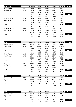| <b>W70 (cont)</b>    |            | <b>Hammer</b> | <b>Shot</b> | <b>Discus</b> | <b>Javelin</b> | Weight | <b>Points</b> |
|----------------------|------------|---------------|-------------|---------------|----------------|--------|---------------|
| Francie Bayler       | WMA        | 12.98         | 4.57        | 10.50         | 10.50          | 5.54   |               |
| Age Factors          | W70        | 1.9160        | 1.8559      | 2.0542        | 1.9654         | 1.4667 |               |
|                      |            | 24.86         | 8.48        | 21.56         | 20.63          | 8.12   |               |
|                      |            | 383           | 430         | 306           | 301            | 379    | 1799          |
|                      |            | 383           | 813         | 1119          | 1420           | 1799   |               |
| <b>Marion Clarke</b> | <b>WBP</b> | 17.14         | 4.19        | 10.49         | 7.89           | 6.44   |               |
| Age Factors          | W70        | 1.9160        | 1.8559      | 2.0542        | 1.9654         | 1.4667 |               |
|                      |            | 32.84         | 7.77        | 21.54         | 15.50          | 9.44   |               |
| 8th                  |            | 555           | 385         | 306           | 206            | 459    | 1911          |
|                      |            | 555           | 940         | 1246          | 1452           | 1911   |               |
| Nola De Chazel       | <b>ACT</b> | 11.71         | 3.93        | 9.27          | 6.62           | 4.75   |               |
| Age Factors          | W70        | 1.9160        | 1.8559      | 2.0542        | 1.9654         | 1.4667 |               |
|                      |            | 22.43         | 7.29        | 19.04         | 13.01          | 6.96   |               |
| 9th                  |            | 331           | 354         | 261           | 160            | 309    | 1415          |
|                      |            | 331           | 685         | 946           | 1106           | 1415   |               |

| <b>W75</b>            |            | <b>Hammer</b> | <b>Shot</b> | <b>Discus</b> | <b>Javelin</b> | Weight | <b>Points</b> |
|-----------------------|------------|---------------|-------------|---------------|----------------|--------|---------------|
| <b>Eunice Jenkins</b> | <b>QLD</b> | 22.41         | 5.57        | 15.02         | 8.11           | 7.21   |               |
| Age Factors           | W75        | 1.9984        | 1.8324      | 2.1546        | 2.2794         | 1.5146 |               |
|                       |            | 44.78         | 10.20       | 32.36         | 18.48          | 10.92  |               |
| 1st                   |            | 816           | 543         | 507           | 261            | 549    | 2676          |
|                       |            | 816           | 1359        | 1866          | 2127           | 2676   |               |
| Mary Wahren           | <b>ACT</b> | 19.17         | 5.75        | 10.85         | 12.80          | 6.33   |               |
| Age Factors           | W75        | 1.9984        | 1.8324      | 2.1546        | 2.2794         | 1.5146 |               |
|                       |            | 38.30         | 10.53       | 23.37         | 29.17          | 9.58   |               |
| 2nd                   |            | 674           | 564         | 339           | 461            | 467    | 2505          |
|                       |            | 674           | 1238        | 1577          | 2038           | 2505   |               |
| Gwyn Heseltine        | <b>CAN</b> | 21.61         | 5.79        | 11.29         | 8.06           | 7.10   |               |
| Age Factors           | W75        | 1.9984        | 1.8324      | 2.1546        | 2.2794         | 1.5146 |               |
|                       |            | 43.18         | 10.60       | 24.32         | 18.37          | 10.75  |               |
| 3rd                   |            | 781           | 569         | 356           | 259            | 539    | 2504          |
|                       |            | 781           | 1350        | 1706          | 1965           | 2504   |               |

| <b>W80</b>             |            | <b>Hammer</b> | <b>Shot</b> | <b>Discus</b> | <b>Javelin</b> | Weight | <b>Points</b> |
|------------------------|------------|---------------|-------------|---------------|----------------|--------|---------------|
| <b>Heather Doherty</b> | <b>QLD</b> | 20.64         | 7.12        | 20.74         | 15.92          | 9.33   |               |
| Age Factors            | W80        | 2.3030        | 2.0742      | 2.5220        | 2.7129         | 1.7006 |               |
|                        |            | 47.53         | 14.76       | 52.30         | 43.18          | 15.86  |               |
| 1st                    |            | 877           | 845         | 897           | 728            | 855    | 4202          |
|                        |            | 877           | 1722        | 2619          | 3347           | 4202   |               |

| <b>W90</b>     |            | Hammer | <b>Shot</b> | <b>Discus</b> | <b>Javelin</b> | Weight | <b>Points</b> |
|----------------|------------|--------|-------------|---------------|----------------|--------|---------------|
| Pauline Purser | <b>WBP</b> | 12.92  | 3.92        | 10.00         | 6.70           | 4.55   |               |
| Age Factors    | W90        | 3.3333 | 2.8176      | 3.8270        | 4.3782         | 2.2716 |               |
|                |            | 43.06  | 11.04       | 38.27         | 29.33          | 10.33  |               |
| 1st            |            | 778    | 598         | 621           | 464            | 513    | 2974          |
|                |            | 778    | 1376        | 1997          | 2461           | 2974   |               |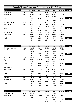| Oceania Throws Pentathlon Challenge 2013 - Men's Results |            |               |             |               |         |        |               |  |  |
|----------------------------------------------------------|------------|---------------|-------------|---------------|---------|--------|---------------|--|--|
| <b>M35</b>                                               |            | <b>Hammer</b> | <b>Shot</b> | <b>Discus</b> | Javelin | Weight | <b>Points</b> |  |  |
| <b>Matt Staunton</b>                                     | <b>WA</b>  | 43.94         | 12.32       | 38.78         | 44.88   | 13.38  |               |  |  |
| Age Factors                                              | M35        | 1.0300        | 1.0372      | 1.0143        | 1.0126  | 1.0203 |               |  |  |
|                                                          |            | 45.25         | 12.77       | 39.33         | 45.44   | 13.65  |               |  |  |
| 1st                                                      |            | 598           | 653         | 651           | 521     | 658    | 3081          |  |  |
|                                                          |            | 598           | 1251        | 1902          | 2423    | 3081   |               |  |  |
| Michael Scholten                                         | <b>OTG</b> | 40.76         | 11.58       | 27.61         | 37.03   | 10.67  |               |  |  |
| Age Factors                                              | M35        | 1.0300        | 1.0372      | 1.0143        | 1.0126  | 1.0203 |               |  |  |
|                                                          |            | 41.98         | 12.01       | 28.00         | 37.49   | 10.88  |               |  |  |
| 2 <sub>nd</sub>                                          |            | 545           | 607         | 425           | 406     | 501    | 2484          |  |  |
|                                                          |            | 545           | 1152        | 1577          | 1983    | 2484   |               |  |  |
| David Couper                                             | <b>WBP</b> | 32.36         | 9.97        | 27.60         | 42.36   | 10.13  |               |  |  |
| Age Factors                                              | M35        | 1.0300        | 1.0372      | 1.0143        | 1.0126  | 1.0203 |               |  |  |
|                                                          |            | 33.33         | 10.34       | 27.99         | 42.89   | 10.33  |               |  |  |
| 3rd                                                      |            | 404           | 506         | 425           | 484     | 470    | 2289          |  |  |
|                                                          |            | 404           | 910         | 1335          | 1819    | 2289   |               |  |  |

| <b>M40</b>            |            | <b>Hammer</b> | <b>Shot</b> | <b>Discus</b> | <b>Javelin</b> | Weight | <b>Points</b> |
|-----------------------|------------|---------------|-------------|---------------|----------------|--------|---------------|
| Michael Mullarvey     | <b>TAS</b> | 31.19         | 11.02       | 30.01         | 46.69          | 9.75   |               |
| Age Factors           | M40        | 1.1252        | 1.1137      | 1.1014        | 1.0862         | 1.0898 |               |
|                       |            | 35.09         | 12.27       | 33.05         | 50.71          | 10.62  |               |
| 1st                   |            | 432           | 623         | 525           | 599            | 487    | 2666          |
|                       |            | 432           | 1055        | 1580          | 2179           | 2666   |               |
| <b>Richard Harris</b> | <b>QLD</b> | 25.40         | 10.87       | 34.77         | 35.11          | 10.43  |               |
| Age Factors           | M40        | 1.1252        | 1.1137      | 1.1014        | 1.0862         | 1.0898 |               |
|                       |            | 28.58         | 12.10       | 38.29         | 38.13          | 11.36  |               |
| 2nd                   |            | 328           | 612         | 630           | 415            | 528    | 2513          |
|                       |            | 328           | 940         | 1570          | 1985           | 2513   |               |
| Aaron Schenk          | SA         | 25.70         | 10.17       | 28.06         | 40.45          | 10.18  |               |
| Age Factors           | M40        | 1.1252        | 1.1137      | 1.1014        | 1.0862         | 1.0898 |               |
|                       |            | 28.91         | 11.32       | 30.90         | 43.93          | 11.09  |               |
| 3rd                   |            | 333           | 565         | 482           | 499            | 513    | 2392          |
|                       |            | 333           | 898         | 1380          | 1879           | 2392   |               |
| Ian Clarke            | <b>WBP</b> | 25.23         | 7.68        | 27.55         | 33.72          | 8.70   |               |
| Age Factors           | M40        | 1.1252        | 1.1137      | 1.1014        | 1.0862         | 1.0898 |               |
|                       |            | 28.38         | 8.55        | 30.34         | 36.62          | 9.48   |               |
| 4th                   |            | 325           | 399         | 471           | 393            | 423    | 2011          |
|                       |            | 325           | 724         | 1195          | 1588           | 2011   |               |

| M45                   |            | <b>Hammer</b> | <b>Shot</b> | <b>Discus</b> | Javelin | Weight | <b>Points</b> |
|-----------------------|------------|---------------|-------------|---------------|---------|--------|---------------|
| <b>Stuart Gyngell</b> | <b>NSW</b> | 42.27         | 15.94       | 42.01         | 36.68   | 13.74  |               |
| Age Factors           | M45        | 1.2397        | 1.2023      | 1.2049        | 1.1716  | 1.1697 |               |
|                       |            | 52.40         | 19.16       | 50.61         | 42.97   | 16.07  |               |
| 1st                   |            | 716           | 1047        | 883           | 485     | 796    | 3927          |
|                       |            | 716           | 1763        | 2646          | 3131    | 3927   |               |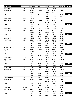| <b>M45 (cont)</b>  |            | <b>Hammer</b> | <b>Shot</b> | <b>Discus</b> | <b>Javelin</b> | Weight | <b>Points</b> |
|--------------------|------------|---------------|-------------|---------------|----------------|--------|---------------|
| <b>Todd Davey</b>  | <b>WA</b>  | 35.23         | 13.04       | 41.32         | 38.53          | 11.78  |               |
| Age Factors        | M45        | 1.2397        | 1.2023      | 1.2049        | 1.1716         | 1.1697 |               |
|                    |            | 43.67         | 15.67       | 49.78         | 45.14          | 13.77  |               |
| 2nd                |            | 572           | 831         | 866           | 517            | 665    | 3451          |
|                    |            | 572           | 1403        | 2269          | 2786           | 3451   |               |
| Rene Otto          | <b>WBP</b> | 34.34         | 10.46       | 34.10         | 25.71          | 10.06  |               |
| Age Factors        | M45        | 1.2397        | 1.2023      | 1.2049        | 1.1716         | 1.1697 |               |
|                    |            | 42.57         | 12.57       | 41.08         | 30.12          | 11.76  |               |
| 3rd                |            | 554           | 641         | 687           | 301            | 551    | 2734          |
|                    |            | 554           | 1195        | 1882          | 2183           | 2734   |               |
| Laini Inivale      | AKL        | 17.17         | 12.60       | 27.73         | 28.8           | 9.91   |               |
| Age Factors        | M45        | 1.2397        | 1.2023      | 1.2049        | 1.1716         | 1.1697 |               |
|                    |            | 21.28         | 15.14       | 33.41         | 33.74          | 11.59  |               |
| 4th                |            | 212           | 798         | 532           | 352            | 541    | 2435          |
|                    |            | 212           | 1010        | 1542          | 1894           | 2435   |               |
| Laini Inivale      | AKL        | 19.53         | 11.70       | 28.71         | 25.51          | 9.63   |               |
| Age Factors        | M45        | 1.2397        | 1.2023      | 1.2049        | 1.1716         | 1.1697 |               |
|                    |            | 24.21         | 14.06       | 34.59         | 29.88          | 11.26  |               |
|                    |            | 258           | 732         | 555           | 298            | 523    | 2366          |
|                    |            | 258           | 990         | 1545          | 1843           | 2366   |               |
| Matthew Lovell     | SA         | 31.39         | 8.46        | 25.57         | 33.07          | 8.51   |               |
| Age Factors        | M45        | 1.2397        | 1.2023      | 1.2049        | 1.1716         | 1.1697 |               |
|                    |            | 38.91         | 10.17       | 30.80         | 38.74          | 9.95   |               |
| 5th                |            | 494           | 496         | 480           | 424            | 449    | 2343          |
|                    |            | 494           | 990         | 1470          | 1894           | 2343   |               |
| Warren Duke        | <b>QLD</b> | 19.02         | 9.47        | 27.03         | 27.39          | 8.66   |               |
| Age Factors        | M45        | 1.2397        | 1.2023      | 1.2049        | 1.1716         | 1.1697 |               |
|                    |            | 23.57         | 11.38       | 32.56         | 32.09          | 10.12  |               |
| 6th                |            | 248           | 569         | 515           | 329            | 459    | 2120          |
|                    |            | 248           | 817         | 1332          | 1661           | 2120   |               |
| Matt Hillas        | WEL        | 21.64         | 9.61        | 29.17         | 0.00           | 8.60   |               |
| Age Factors        | M45        | 1.2397        | 1.2023      | 1.2049        | 1.1716         | 1.1697 |               |
|                    |            | 26.82         | 11.55       | 35.14         | 0.00           | 10.05  |               |
| 7th                |            | 300           | 579         | 566           | $\pmb{0}$      | 455    | 1900          |
|                    |            | 300           | 879         | 1445          | 1445           | 1900   |               |
| Gavin Teahan       | WEL        | 18.80         | 8.46        | 20.24         | 35.26          | 5.58   |               |
| Age Factors        | M45        | 1.2397        | 1.2023      | 1.2049        | 1.1716         | 1.1697 |               |
|                    |            | 23.30         | 10.17       | 24.38         | 41.31          | 6.52   |               |
| 8th                |            | 244           | 496         | 355           | 461            | 260    | 1816          |
|                    |            | 244           | 740         | 1095          | 1556           | 1816   |               |
| <b>Steve Weeks</b> | <b>WMA</b> | 23.93         | 7.50        | 22.78         | 19.56          | 7.54   |               |
| Age Factors        | M45        | 1.2397        | 1.2023      | 1.2049        | 1.1716         | 1.1697 |               |
|                    |            | 29.66         | 9.01        | 27.44         | 22.91          | 8.81   |               |
| 9th                |            | 345           | 426         | 414           | 201            | 386    | 1772          |
|                    |            | 345           | 771         | 1185          | 1386           | 1772   |               |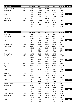| $M45$ (cont)   |            | <b>Hammer</b> | <b>Shot</b> | <b>Discus</b> | <b>Javelin</b> | Weight | <b>Points</b> |
|----------------|------------|---------------|-------------|---------------|----------------|--------|---------------|
| Mark McFarlane | <b>WEL</b> | 14.44         | 7.55        | 18.30         | 22.17          | 5.80   |               |
| Age Factors    | M45        | 1.2397        | 1.2023      | 1.2049        | 1.1716         | 1.1697 |               |
|                |            | 17.90         | 9.07        | 22.04         | 25.97          | 6.78   |               |
| 10th           |            | 160           | 430         | 311           | 243            | 274    | 1418          |
|                |            | 160           | 590         | 901           | 1144           | 1418   |               |
| Sam Pou        | AKL        | 14.30         | 6.28        | 15.66         | 19.23          | 5.35   |               |
| Age Factors    | M45        | 1.2397        | 1.2023      | 1.2049        | 1.1716         | 1.1697 |               |
|                |            | 17.72         | 7.55        | 18.86         | 22.52          | 6.25   |               |
| 11th           |            | 157           | 340         | 251           | 195            | 245    | 1188          |
|                |            | 157           | 497         | 748           | 943            | 1188   |               |

| <b>M50</b>           |            | <b>Hammer</b> | <b>Shot</b> | <b>Discus</b> | <b>Javelin</b> | Weight | <b>Points</b> |
|----------------------|------------|---------------|-------------|---------------|----------------|--------|---------------|
| Mark Flaus           | <b>STH</b> | 32.88         | 11.69       | 37.38         | 32.86          | 13.27  |               |
| Age Factors          | M50        | 1.1864        | 1.1721      | 1.0218        | 1.2278         | 1.0488 |               |
|                      |            | 39.00         | 13.70       | 38.19         | 40.34          | 13.91  |               |
| 1st                  |            | 496           | 710         | 628           | 447            | 673    | 2954          |
|                      |            | 496           | 1206        | 1834          | 2281           | 2954   |               |
| Murray Free          | <b>AKL</b> | 27.30         | 9.69        | 30.43         | 39.42          | 11.36  |               |
| Age Factors          | M50        | 1.1864        | 1.1721      | 1.0218        | 1.2278         | 1.0488 |               |
|                      |            | 32.38         | 11.35       | 31.09         | 48.39          | 11.91  |               |
| 2nd                  |            | 389           | 567         | 486           | 565            | 559    | 2566          |
|                      |            | 389           | 956         | 1442          | 2007           | 2566   |               |
| Murray Free          | AKL        | 26.75         | 9.91        | 31.28         | 37.78          | 10.95  |               |
| Age Factors          | M50        | 1.1864        | 1.1721      | 1.0218        | 1.2278         | 1.0488 |               |
|                      |            | 31.73         | 11.61       | 31.96         | 46.38          | 11.48  |               |
|                      |            | 378           | 583         | 503           | 535            | 535    | 2534          |
|                      |            | 378           | 961         | 1464          | 1999           | 2534   |               |
| <b>Bruce Solomon</b> | <b>WBP</b> | 17.20         | 9.69        | 29.93         | 30.52          | 8.87   |               |
| Age Factors          | M50        | 1.1864        | 1.1721      | 1.0218        | 1.2278         | 1.0488 |               |
|                      |            | 20.40         | 11.35       | 30.58         | 37.47          | 9.30   |               |
| 3rd                  |            | 199           | 567         | 476           | 406            | 413    | 2061          |
|                      |            | 199           | 766         | 1242          | 1648           | 2061   |               |
| Neil Gray            | <b>QLD</b> | 18.39         | 7.28        | 26.42         | 31.71          | 8.47   |               |
| Age Factors          | M50        | 1.1864        | 1.1721      | 1.0218        | 1.2278         | 1.0488 |               |
|                      |            | 21.81         | 8.53        | 26.99         | 38.93          | 8.88   |               |
| 4th                  |            | 221           | 398         | 406           | 427            | 390    | 1842          |
|                      |            | 221           | 619         | 1025          | 1452           | 1842   |               |
| Norman White         | SA         | 16.49         | 6.63        | 18.50         | 19.60          | 6.69   |               |
| <b>Age Factors</b>   | M50        | 1.1864        | 1.1721      | 1.0218        | 1.2278         | 1.0488 |               |
|                      |            | 19.56         | 7.77        | 18.90         | 24.06          | 7.01   |               |
| 5th                  |            | 185           | 353         | 252           | 217            | 287    | 1294          |
|                      |            | 185           | 538         | 790           | 1007           | 1294   |               |
| Ganga Prasad         | <b>QLD</b> | 15.66         | 6.53        | 18.68         | 20.29          | 6.73   |               |
| <b>Age Factors</b>   | M50        | 1.1864        | 1.1721      | 1.0218        | 1.2278         | 1.0488 |               |
|                      |            | 18.57         | 7.65        | 19.08         | 24.91          | 7.05   |               |
| 6th                  |            | 170           | 346         | 255           | 228            | 289    | 1288          |
|                      |            | 170           | 516         | 771           | 999            | 1288   |               |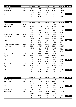| <b>M50 (cont)</b> |     | Hammer | <b>Shot</b> | <b>Discus</b> | Javelin | Weight | <b>Points</b> |
|-------------------|-----|--------|-------------|---------------|---------|--------|---------------|
| Gary Rawson       | WEL | 18.14  | 7.98        | 0.00          | 25.04   | 0.00   |               |
| Age Factors       | M50 | 1.1864 | 1.1721      | 1.0218        | 1.2278  | 1.0488 |               |
|                   |     | 21.52  | 9.35        | 0.00          | 30.74   | 0.00   |               |
| 7th               |     | 216    | 447         | 0             | 310     | 0      | 973           |
|                   |     | 216    | 663         | 663           | 973     | 973    |               |

| M <sub>55</sub>        |            | <b>Hammer</b>  | <b>Shot</b> | <b>Discus</b> | <b>Javelin</b> | Weight | <b>Points</b> |
|------------------------|------------|----------------|-------------|---------------|----------------|--------|---------------|
| Gavin Murray           | <b>NSW</b> | 36.18          | 11.64       | 37.01         | 31.04          | 13.83  |               |
| Age Factors            | M55        | 1.3145         | 1.2706      | 1.1103        | 1.3380         | 1.1225 |               |
|                        |            | 47.55          | 14.78       | 41.09         | 41.53          | 15.52  |               |
| 1st                    |            | 636            | 776         | 687           | 464            | 765    | 3328          |
|                        |            | 636            | 1412        | 2099          | 2563           | 3328   |               |
| Robert Hanbury-Brown   | <b>NSW</b> | 31.28          | 10.49       | 32.30         | 40.61          | 13.02  |               |
| Age Factors            | M55        | 1.3145         | 1.2706      | 1.1103        | 1.3380         | 1.1225 |               |
|                        |            | 41.11          | 13.32       | 35.86         | 54.33          | 14.61  |               |
| 2nd                    |            | 530            | 687         | 581           | 653            | 713    | 3164          |
|                        |            | 530            | 1217        | 1798          | 2451           | 3164   |               |
| Andrew Atkinson-Howatt | <b>NSW</b> | 25.76          | 9.58        | 35.45         | 40.58          | 10.28  |               |
| Age Factors            | M55        | 1.3145         | 1.2706      | 1.1103        | 1.3380         | 1.1225 |               |
|                        |            | 33.86          | 12.17       | 39.36         | 54.29          | 11.53  |               |
| 3rd                    |            | 0              | 617         | 652           | 652            | 538    | 2459          |
|                        |            | $\overline{0}$ | 617         | 1269          | 1921           | 2459   |               |
| Hans Barnard           | AKL        | 0.00           | 8.76        | 26.29         | 21.40          | 11.48  |               |
| Age Factors            | M55        | 1.3145         | 1.2706      | 1.1103        | 1.3380         | 1.1225 |               |
|                        |            | 0.00           | 11.13       | 29.18         | 28.63          | 12.88  |               |
| 4th                    |            | $\mathbf 0$    | 554         | 448           | 280            | 614    | 1896          |
|                        |            | 0              | 554         | 1002          | 1282           | 1896   |               |
| Craig Elliott          | <b>QLD</b> | 20.97          | 8.02        | 22.94         | 22.53          | 7.31   |               |
| Age Factors            | M55        | 1.3145         | 1.2706      | 1.1103        | 1.3380         | 1.1225 |               |
|                        |            | 27.56          | 10.19       | 25.47         | 30.14          | 8.20   |               |
| 5th                    |            | 311            | 497         | 376           | 301            | 352    | 1837          |
|                        |            | 311            | 808         | 1184          | 1485           | 1837   |               |

| <b>M60</b>          |            | <b>Hammer</b> | <b>Shot</b> | <b>Discus</b> | <b>Javelin</b> | Weight | <b>Points</b> |
|---------------------|------------|---------------|-------------|---------------|----------------|--------|---------------|
| <b>Rick Davison</b> | <b>CAN</b> | 42.59         | 9.64        | 36.75         | 30.44          | 15.24  |               |
| Age Factors         | M60        | 1.3082        | 1.2482      | 1.0628        | 1.4140         | 1.0424 |               |
|                     |            | 55.71         | 12.03       | 39.05         | 43.04          | 15.88  |               |
| 1st                 |            | 771           | 608         | 645           | 486            | 785    | 3295          |
|                     |            | 771           | 1379        | 2024          | 2510           | 3295   |               |
| <b>Rick Davison</b> | <b>CAN</b> | 42.07         | 9.98        | 35.85         | 29.81          | 14.47  |               |
| Age Factors         | M60        | 1.3082        | 1.2482      | 1.0628        | 1.4140         | 1.0424 |               |
|                     |            | 55.03         | 12.45       | 38.10         | 42.15          | 15.08  |               |
|                     |            | 760           | 634         | 626           | 473            | 740    | 3233          |
|                     |            | 760           | 1394        | 2020          | 2493           | 3233   |               |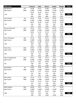| <b>M60 (cont)</b>  |            | <b>Hammer</b> | <b>Shot</b> | <b>Discus</b> | <b>Javelin</b> | Weight | <b>Points</b> |
|--------------------|------------|---------------|-------------|---------------|----------------|--------|---------------|
| <b>Bob Banems</b>  | <b>ACT</b> | 34.89         | 10.27       | 35.86         | 32.80          | 11.30  |               |
| Age Factors        | M60        | 1.3082        | 1.2482      | 1.0628        | 1.4140         | 1.0424 |               |
|                    |            | 45.64         | 12.81       | 38.11         | 46.37          | 11.77  |               |
| 2nd                |            | 605           | 656         | 626           | 535            | 551    | 2973          |
|                    |            | 605           | 1261        | 1887          | 2422           | 2973   |               |
| <b>Tony Patane</b> | SA         | 35.42         | 9.48        | 32.43         | 19.35          | 13.91  |               |
| Age Factors        | M60        | 1.3082        | 1.2482      | 1.0628        | 1.4140         | 1.0424 |               |
|                    |            | 46.33         | 11.83       | 34.46         | 27.36          | 14.49  |               |
| 3rd                |            | 616           | 596         | 553           | 262            | 706    | 2733          |
|                    |            | 616           | 1212        | 1765          | 2027           | 2733   |               |
| Duncan Macnicol    | <b>ACT</b> | 33.34         | 8.92        | 29.87         | 26.29          | 13.53  |               |
| Age Factors        | M60        | 1.3082        | 1.2482      | 1.0628        | 1.4140         | 1.0424 |               |
|                    |            | 43.61         | 11.13       | 31.74         | 37.17          | 14.10  |               |
| 4th                |            | 571           | 554         | 499           | 401            | 684    | 2709          |
|                    |            | 571           | 1125        | 1624          | 2025           | 2709   |               |
| Chris Thompson     | <b>AKL</b> | 37.16         | 9.46        | 32.51         | 19.04          | 12.00  |               |
| Age Factors        | M60        | 1.3082        | 1.2482      | 1.0628        | 1.4140         | 1.0424 |               |
|                    |            | 48.61         | 11.80       | 34.55         | 26.92          | 12.50  |               |
| 5th                |            | 654           | 594         | 555           | 256            | 593    | 2652          |
|                    |            | 654           | 1248        | 1803          | 2059           | 2652   |               |
| Peter Teys         | <b>QLD</b> | 24.69         | 11.03       | 34.53         | 24.06          | 9.90   |               |
| Age Factors        | M60        | 1.3082        | 1.2482      | 1.0628        | 1.4140         | 1.0424 |               |
|                    |            | 32.29         | 13.76       | 36.69         | 34.02          | 10.31  |               |
| 6th                |            | 387           | 714         | 598           | 356            | 469    | 2524          |
|                    |            | 387           | 1101        | 1699          | 2055           | 2524   |               |
| Peter Frangenheim  | <b>QLD</b> | 22.25         | 7.89        | 26.73         | 35.4           | 7.98   |               |
| Age Factors        | M60        | 1.3082        | 1.2482      | 1.0628        | 1.4140         | 1.0424 |               |
|                    |            | 29.10         | 9.84        | 28.40         | 50.05          | 8.31   |               |
| 7th                |            | 336           | 476         | 433           | 589            | 358    | 2192          |
|                    |            | 336           | 812         | 1245          | 1834           | 2192   |               |
| David Bates        | SA         | 32.68         | 6.39        | 19.07         | 18.67          | 11.76  |               |
| Age Factors        | M60        | 1.3082        | 1.2482      | 1.0628        | 1.4140         | 1.0424 |               |
|                    |            | 42.75         | 7.97        | 20.26         | 26.39          | 12.25  |               |
| 8th                |            | 557           | 365         | 277           | 249            | 579    | 2027          |
|                    |            | 557           | 922         | 1199          | 1448           | 2027   |               |
| Kevin Ryall        | <b>QLD</b> | 21.14         | 9.72        | 26.02         | 22.67          | 7.76   |               |
| Age Factors        | M60        | 1.3082        | 1.2482      | 1.0628        | 1.4140         | 1.0424 |               |
|                    |            | 27.65         | 12.13       | 27.65         | 32.05          | 8.08   |               |
| 9th                |            | 313           | 614         | 418           | 328            | 345    | 2018          |
|                    |            | 313           | 927         | 1345          | 1673           | 2018   |               |
| Mills Lafferty     | <b>QLD</b> | 26.68         | 6.47        | 23.12         | $\pmb{0}$      | 10.09  |               |
| Age Factors        | M60        | 1.3082        | 1.2482      | 1.0628        | 1.4140         | 1.0424 |               |
|                    |            | 34.90         | 8.07        | 24.57         | 0.00           | 10.51  |               |
| 10th               |            | 429           | 370         | 359           | 0              | 481    | 1639          |
|                    |            | 429           | 799         | 1158          | 1158           | 1639   |               |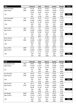| M65                 |            | <b>Hammer</b> | <b>Shot</b> | <b>Discus</b> | <b>Javelin</b> | Weight | <b>Points</b> |
|---------------------|------------|---------------|-------------|---------------|----------------|--------|---------------|
| Peter Kennedy       | <b>QLD</b> | 24.54         | 10.33       | 29.35         | 31.62          | 10.23  |               |
| Age Factors         | M65        | 1.4656        | 1.3607      | 1.1637        | 1.5620         | 1.1153 |               |
|                     |            | 35.96         | 14.05       | 34.15         | 49.39          | 11.40  |               |
| 1st                 |            | 447           | 731         | 547           | 580            | 531    | 2836          |
|                     |            | 447           | 1178        | 1725          | 2305           | 2836   |               |
| John Reynolds       | <b>ACT</b> | 31.02         | 8.30        | 31.27         | 18.92          | 11.80  |               |
| Age Factors         | M65        | 1.4656        | 1.3607      | 1.1637        | 1.5620         | 1.1153 |               |
|                     |            | 45.46         | 11.29       | 36.38         | 29.55          | 13.16  |               |
| 2nd                 |            | 602           | 563         | 591           | 293            | 630    | 2679          |
|                     |            | 602           | 1165        | 1756          | 2049           | 2679   |               |
| Peter Clark         | <b>QLD</b> | 23.24         | 9.6         | 34.58         | 22.96          | 8.61   |               |
| <b>Age Factors</b>  | M65        | 1.4656        | 1.3607      | 1.1637        | 1.5620         | 1.1153 |               |
|                     |            | 34.06         | 13.06       | 40.24         | 35.86          | 9.60   |               |
| 3rd                 |            | 416           | 671         | 669           | 382            | 430    | 2568          |
|                     |            | 416           | 1087        | 1756          | 2138           | 2568   |               |
| <b>Brian Davies</b> | SA         | 24.58         | 7.11        | 24.94         | 28.35          | 12.18  |               |
| Age Factors         | M65        | 1.4656        | 1.3607      | 1.1637        | 1.5620         | 1.1153 |               |
|                     |            | 36.02         | 9.67        | 29.02         | 44.28          | 13.58  |               |
| 4th                 |            | 447           | 466         | 445           | 504            | 654    | 2516          |
|                     |            | 447           | 913         | 1358          | 1862           | 2516   |               |
| <b>Bruce Wills</b>  | <b>WBP</b> | 21.30         | 8.65        | 28.70         | 19.17          | 9.33   |               |
| Age Factors         | M65        | 1.4656        | 1.3607      | 1.1637        | 1.5620         | 1.1153 |               |
|                     |            | 31.21         | 11.77       | 33.39         | 29.94          | 10.40  |               |
| 5th                 |            | 370           | 592         | 532           | 298            | 474    | 2266          |
|                     |            | 370           | 962         | 1494          | 1792           | 2266   |               |

| <b>M70</b>         |            | <b>Hammer</b> | <b>Shot</b> | <b>Discus</b> | Javelin | Weight | <b>Points</b> |
|--------------------|------------|---------------|-------------|---------------|---------|--------|---------------|
| Guy Quarterman     | <b>QLD</b> | 28.82         | 9.88        | 28.74         | 32.26   | 13.79  |               |
| Age Factors        | M70        | 1.5124        | 1.3471      | 1.2781        | 1.6801  | 1.1408 |               |
|                    |            | 43.58         | 13.30       | 36.73         | 54.20   | 15.73  |               |
| 1st                |            | 571           | 686         | 598           | 651     | 777    | 3283          |
|                    |            | 571           | 1257        | 1855          | 2506    | 3283   |               |
| lan Kennedy        | <b>QLD</b> | 29.63         | 9.12        | 24.16         | 23.63   | 12.18  |               |
| <b>Age Factors</b> | M70        | 1.5124        | 1.3471      | 1.2781        | 1.6801  | 1.1408 |               |
|                    |            | 44.81         | 12.28       | 30.87         | 39.70   | 13.89  |               |
| 2nd                |            | 591           | 623         | 482           | 438     | 672    | 2806          |
|                    |            | 591           | 1214        | 1696          | 2134    | 2806   |               |
| Barrie Koch        | SA         | 26.77         | 9.88        | 28.07         | 17.55   | 11.92  |               |
| <b>Age Factors</b> | M70        | 1.5124        | 1.3471      | 1.2781        | 1.6801  | 1.1408 |               |
|                    |            | 40.48         | 13.30       | 35.87         | 29.48   | 13.59  |               |
| 3rd                |            | 520           | 686         | 581           | 292     | 655    | 2734          |
|                    |            | 520           | 1206        | 1787          | 2079    | 2734   |               |
| Ron Bragg          | <b>NSW</b> | 23.89         | 8.41        | 23.56         | 28.74   | 9.66   |               |
| <b>Age Factors</b> | M70        | 1.5124        | 1.3471      | 1.2781        | 1.6801  | 1.1408 |               |
|                    |            | 36.13         | 11.32       | 30.11         | 48.28   | 11.02  |               |
| 4th                |            | 449           | 565         | 467           | 563     | 509    | 2553          |
|                    |            | 449           | 1014        | 1481          | 2044    | 2553   |               |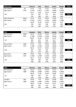| <b>M70 (cont)</b> |            | <b>Hammer</b> | <b>Shot</b> | <b>Discus</b> | <b>Javelin</b> | Weight | <b>Points</b> |
|-------------------|------------|---------------|-------------|---------------|----------------|--------|---------------|
| Kana Nathan       | <b>SA</b>  | 27.25         | 7.20        | 17.31         | 17.61          | 9.54   |               |
| Age Factors       | M70        | 1.5124        | 1.3471      | 1.2781        | 1.6801         | 1.1408 |               |
|                   |            | 41.21         | 9.69        | 22.12         | 29.58          | 10.88  |               |
| 5th               |            | 532           | 467         | 312           | 293            | 501    | 2105          |
|                   |            | 532           | 999         | 1311          | 1604           | 2105   |               |
| Mike Shepherd     | <b>WMA</b> | 15.91         | 8.20        | 18.36         | 14.00          | 5.50   |               |
| Age Factors       | M70        | 1.5124        | 1.3471      | 1.2781        | 1.6801         | 1.1408 |               |
|                   |            | 24.06         | 11.04       | 23.46         | 23.52          | 6.27   |               |
| 6th               |            | 256           | 548         | 338           | 209            | 246    | 1597          |
|                   |            | 256           | 804         | 1142          | 1351           | 1597   |               |

| <b>M75</b>          |            | <b>Hammer</b> | <b>Shot</b> | <b>Discus</b> | Javelin | Weight | <b>Points</b> |
|---------------------|------------|---------------|-------------|---------------|---------|--------|---------------|
| Ron Simcock         | <b>NSW</b> | 34.76         | 10.39       | 27.63         | 27.70   | 11.72  |               |
| Age Factors         | M75        | 1.7268        | 1.4790      | 1.4332        | 1.8932  | 1.2286 |               |
|                     |            | 60.02         | 15.36       | 39.59         | 52.44   | 14.39  |               |
| 1st                 |            | 843           | 812         | 656           | 625     | 700    | 3636          |
|                     |            | 843           | 1655        | 2311          | 2936    | 3636   |               |
| <b>Bruce Clarke</b> | <b>WBP</b> | 27.92         | 7.26        | 20.94         | 18.45   | 10.28  |               |
| Age Factors         | M75        | 1.7268        | 1.4790      | 1.4332        | 1.8932  | 1.2286 |               |
|                     |            | 48.21         | 10.73       | 30.01         | 34.92   | 12.63  |               |
| 2nd                 |            | 647           | 530         | 465           | 369     | 600    | 2611          |
|                     |            | 647           | 1177        | 1642          | 2011    | 2611   |               |
| Ray Laurie          | <b>WBP</b> | 22.65         | 5.60        | 17.35         | 15.59   | 8.17   |               |
| Age Factors         | M75        | 1.7268        | 1.4790      | 1.4332        | 1.8932  | 1.2286 |               |
|                     |            | 39.11         | 8.28        | 24.86         | 29.51   | 10.03  |               |
| 3rd                 |            | 498           | 383         | 364           | 292     | 454    | 1991          |
|                     |            | 498           | 881         | 1245          | 1537    | 1991   |               |

| <b>M80</b>           |            | <b>Hammer</b> | <b>Shot</b> | <b>Discus</b> | <b>Javelin</b> | Weight | <b>Points</b> |
|----------------------|------------|---------------|-------------|---------------|----------------|--------|---------------|
| <b>Bill McMullen</b> | <b>QLD</b> | 25.34         | 8.38        | 26.18         | 16.61          | 9.77   |               |
| Age Factors          | M80        | 1.9056        | 1.5980      | 1.6441        | 2.0952         | 1.3043 |               |
|                      |            | 48.28         | 13.39       | 43.04         | 34.80          | 12.74  |               |
| 1st                  |            | 648           | 691         | 727           | 367            | 606    | 3039          |
|                      |            | 648           | 1339        | 2066          | 2433           | 3039   |               |
| Jim Blair            | <b>WEL</b> | 19.96         | 7.42        | 20.28         | 20.08          | 8.85   |               |
| Age Factors          | M80        | 1.9056        | 1.5980      | 1.6441        | 2.0952         | 1.3043 |               |
|                      |            | 38.03         | 11.85       | 33.34         | 42.07          | 11.54  |               |
| 2nd                  |            | 480           | 597         | 531           | 472            | 538    | 2618          |
|                      |            | 480           | 1077        | 1608          | 2080           | 2618   |               |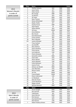## 2013 Women's Results in order of points scored

| <b>Place</b>   | Name:                   |            |     | <b>Points</b> |
|----------------|-------------------------|------------|-----|---------------|
| 1              | <b>Heather Doherty</b>  | <b>QLD</b> | W80 | 4202          |
| $\overline{2}$ | Jayne Hardy             | <b>ACT</b> | W50 | 4098          |
| 3              | <b>Helen Searle</b>     | <b>QLD</b> | W70 | 4024          |
| 4              | <b>Bev Savage</b>       | <b>WBP</b> | W65 | 3843          |
| 5              | Jan Banens              | <b>QLD</b> | W70 | 3721          |
| 6              | Jill Taylor             | <b>NSW</b> | W55 | 3560          |
| $\overline{7}$ | Mary Thomas             | <b>NSW</b> | W65 | 3136          |
| 8              | Glenys Whitehead        | <b>NSW</b> | W45 | 3094          |
| 9              | Raylea Rudov            | <b>ACT</b> | W70 | 3047          |
| 10             | Pauline Purser          | <b>WBP</b> | W90 | 2974          |
| 11             | Glynn Boyce             | SA         | W70 | 2964          |
| 12             | Althea Mackie           | QLD        | W40 | 2905          |
| 13             | <b>Jill Evans</b>       | <b>WMA</b> | W60 | 2810          |
| 14             | Anne Deleiros           | AKI        | W65 | 2751          |
| 15             | <b>Bev Church</b>       | CAN        | W65 | 2723          |
| 16             | <b>Karel McClintock</b> | <b>QLD</b> | W50 | 2684          |
| 17             | <b>Eunice Jenkins</b>   | <b>QLD</b> | W75 | 2676          |
| 18             | Noni Callander          | AKL        | W65 | 2628          |
| $19=$          | Justine Whitaker        | CAN        | W70 | 2628          |
|                | <b>Tracy Canham</b>     | <b>TAS</b> | W40 | 2561          |
| 21             | Joy Sutcliffe           | <b>TAS</b> | W70 | 2510          |
| 22             | Mary Wahren             | <b>ACT</b> | W75 | 2505          |
| 23             | Gwyn Heseltine          | CAN        | W75 | 2504          |
| 24             | Fiona Harvey            | <b>OTG</b> | W50 | 2503          |
| 25             | Lois Anderson           | CAN        | W65 | 2488          |
| 26             | Cherie Dempsey          | SA         | W60 | 2327          |
| 27             | Samantha Latanis        | <b>NSW</b> | W40 | 2323          |
| 28             | <b>Claire Giles</b>     | <b>OTG</b> | W55 | 2298          |
| 29             | <b>Alison Newall</b>    | <b>OTG</b> | W50 | 2135          |
| 30             | Janice Maxwell          | CAN        | W50 | 2127          |
| 31             | Cathy McKeown           | TAS        | W40 | 2118          |
| 32             | Joanne Pronk            | <b>QLD</b> | W55 | 2020          |
| 33             | Adriana van Bockel      | <b>NSW</b> | W60 | 2001          |
| 34             | Joan Merrilees          | <b>OTG</b> | W60 | 1959          |
| 35             | <b>Marion Clarke</b>    | <b>WBP</b> | W70 | 1911          |
| 36             | Jen Fee                 | <b>WMA</b> | W45 | 1906          |
| 37             | Francie Bayler          | <b>WMA</b> | W70 | 1799          |
| 38             | Diane Underwood         | CAN        | W65 | 1717          |
| 39             | Liz Neubauer            | SA         | W60 | 1441          |
| 40             | Nola De Chazel          | <b>ACT</b> | W70 | 1415          |
| 41             | Cassie Neubauer         | SA         | W30 | 1357          |
| 42             | Megan Schenk            | SA         | W40 | 1352          |
| 43             | <b>Belinda Westcott</b> | <b>NSW</b> | W30 | 1199          |
| <b>Place</b>   | Name:                   |            |     | <b>Points</b> |
| 1              | <b>Stuart Gyngell</b>   | <b>NSW</b> | M45 | 3927          |
| $\overline{2}$ | Ron Simcock             | <b>NSW</b> | M75 | 3636          |
| 3              | <b>Todd Davey</b>       | WA         | M45 | 3451          |
| 4              | Gavin Murray            | <b>NSW</b> | M55 | 3328          |
| 5              | <b>Rick Davison</b>     | CAN        | M60 | 3295          |
| 6              | Guy Quarterman          | <b>QLD</b> | M70 | 3283          |
|                | <b>Rick Davison</b>     | CAN        | M60 | 3233          |
| 7              | Robert Hanbury-Brown    | <b>NSW</b> | M55 | 3164          |
|                |                         |            |     |               |

2013 Men's Results in order of points scored